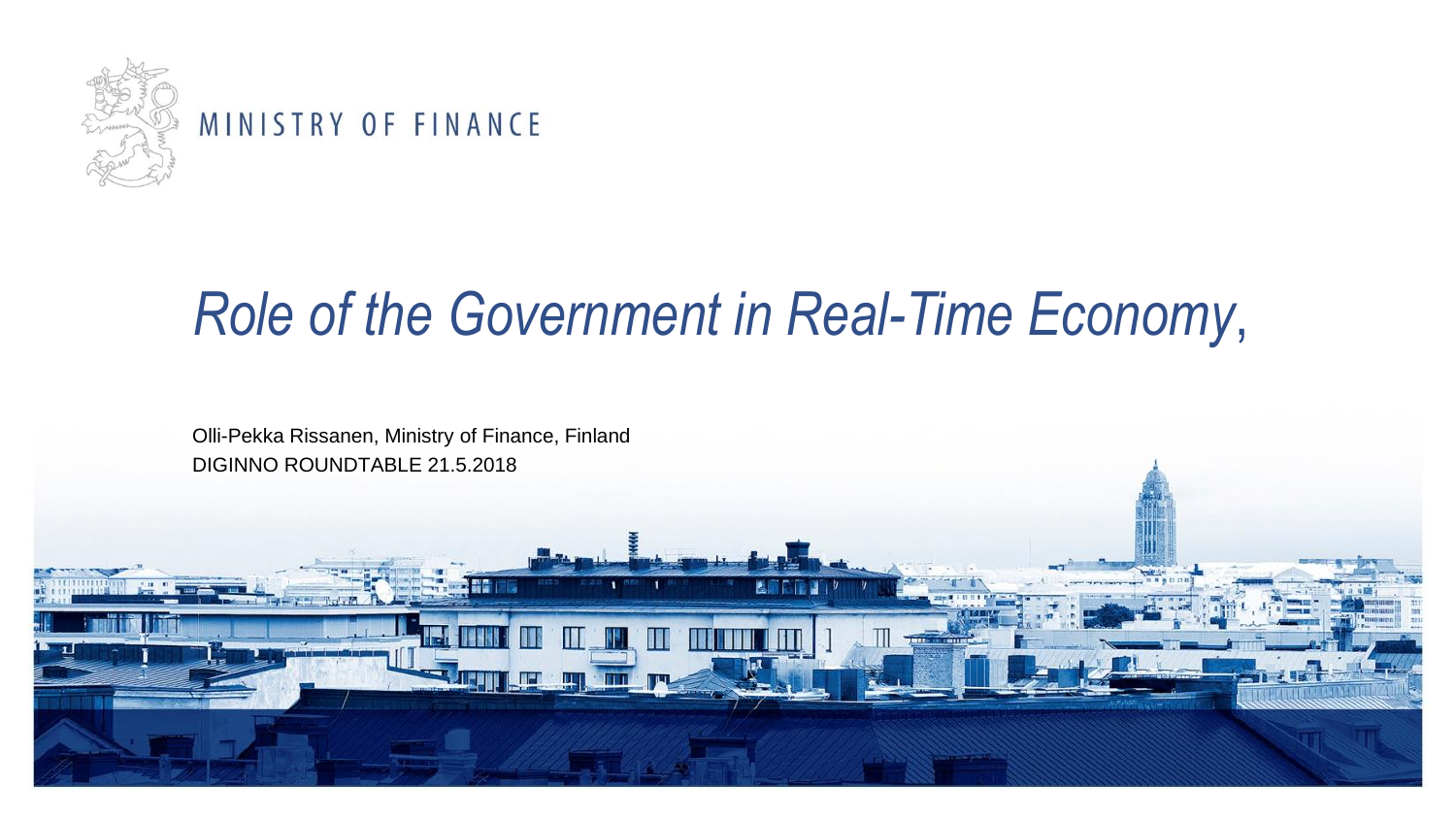

#### MINISTRY OF FINANCE

### *Role of the Government in Real-Time Economy*,

Olli-Pekka Rissanen, Ministry of Finance, Finland DIGINNO ROUNDTABLE 21.5.2018

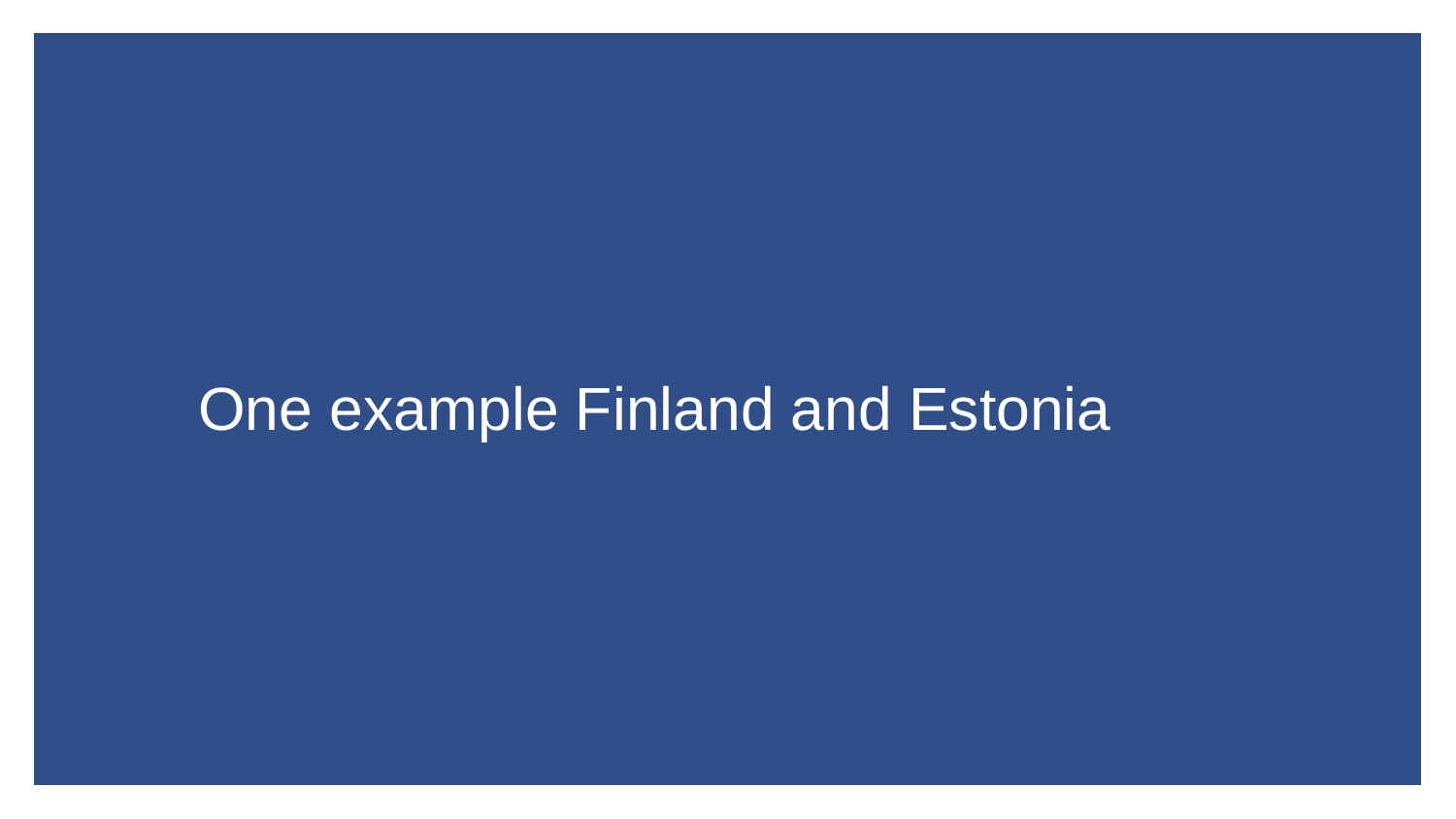#### One example Finland and Estonia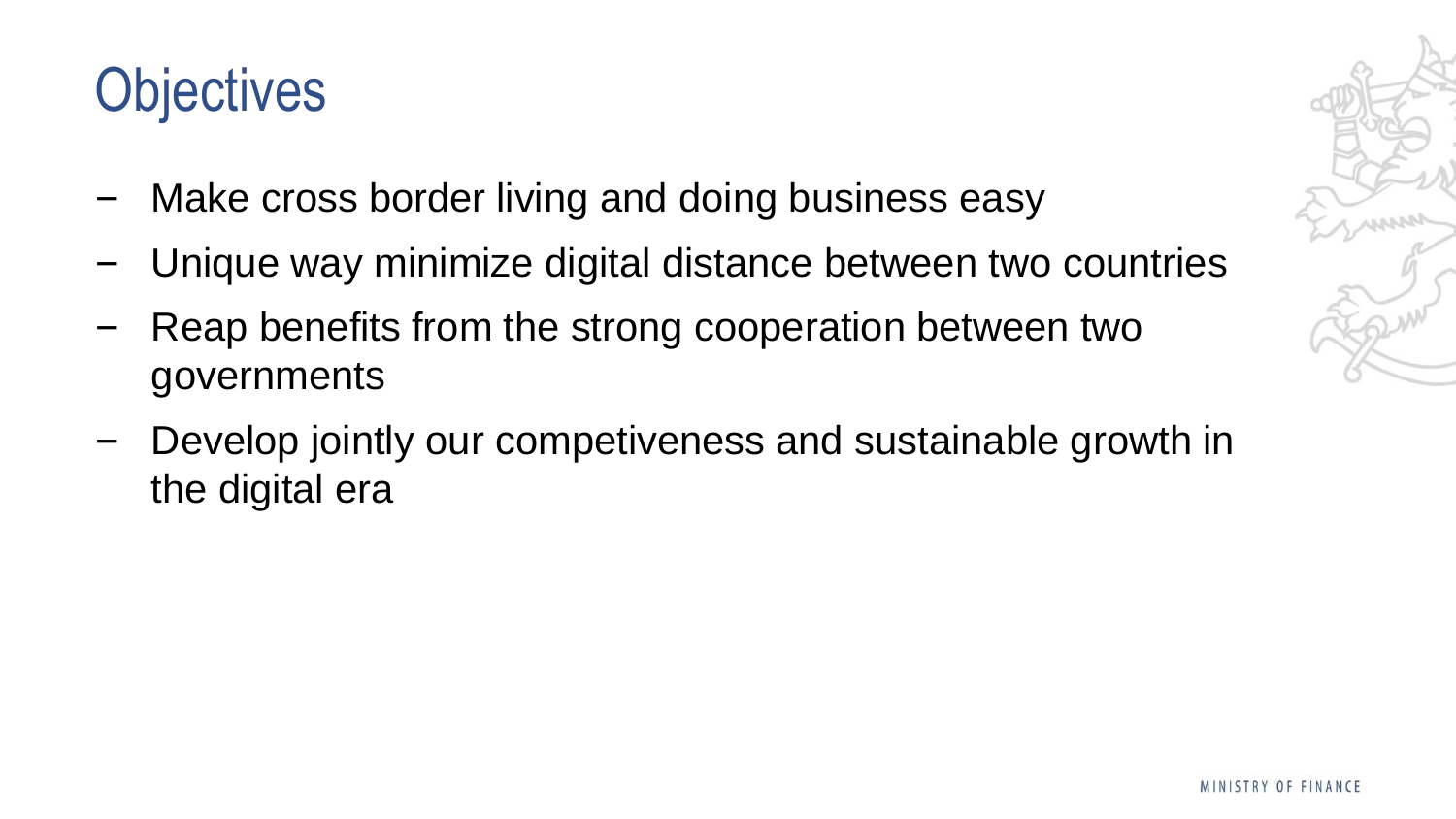## **Objectives**

- Make cross border living and doing business easy
- ‒ Unique way minimize digital distance between two countries
- Reap benefits from the strong cooperation between two governments
- Develop jointly our competiveness and sustainable growth in the digital era

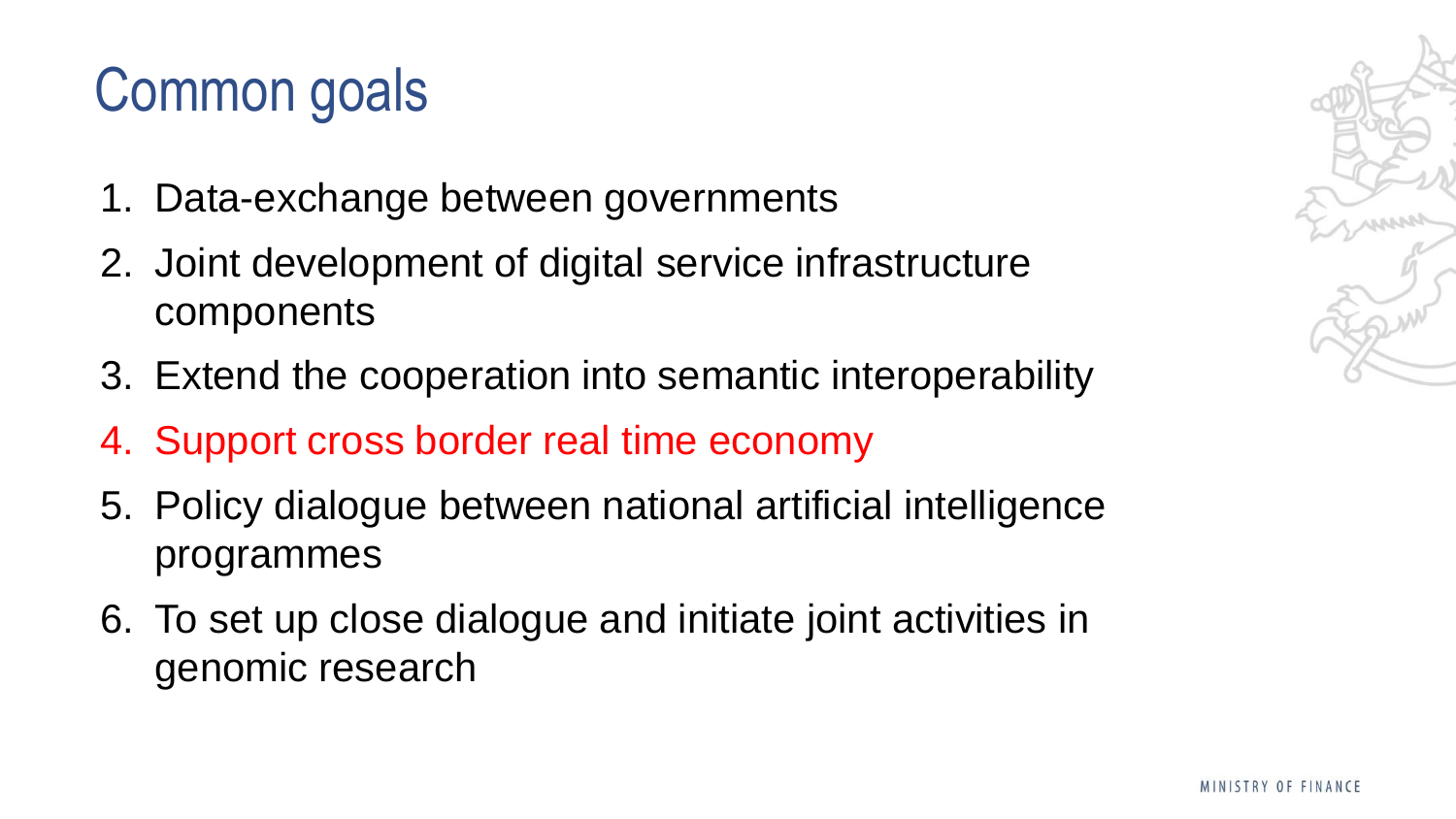# Common goals

- 1. Data-exchange between governments
- 2. Joint development of digital service infrastructure components
- 3. Extend the cooperation into semantic interoperability
- 4. Support cross border real time economy
- 5. Policy dialogue between national artificial intelligence programmes
- 6. To set up close dialogue and initiate joint activities in genomic research

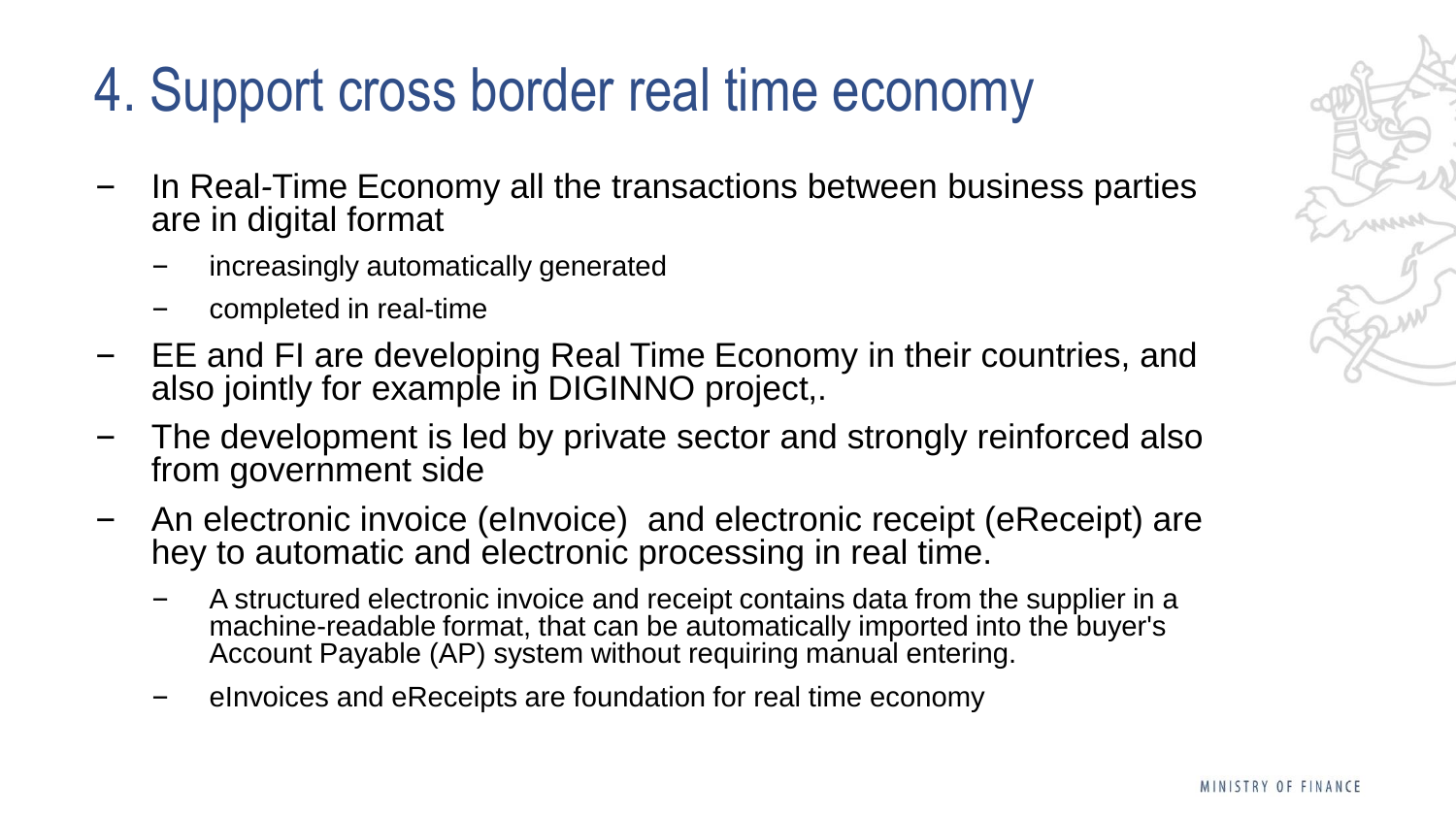# 4. Support cross border real time economy

- ‒ In Real*-*Time Economy all the transactions between business parties are in digital format
	- ‒ increasingly automatically generated
	- ‒ completed in real-time
- EE and FI are developing Real Time Economy in their countries, and also jointly for example in DIGINNO project,.
- ‒ The development is led by private sector and strongly reinforced also from government side
- ‒ An electronic invoice (eInvoice) and electronic receipt (eReceipt) are hey to automatic and electronic processing in real time.
	- ‒ A structured electronic invoice and receipt contains data from the supplier in a machine-readable format, that can be automatically imported into the buyer's Account Payable (AP) system without requiring manual entering.
	- ‒ eInvoices and eReceipts are foundation for real time economy

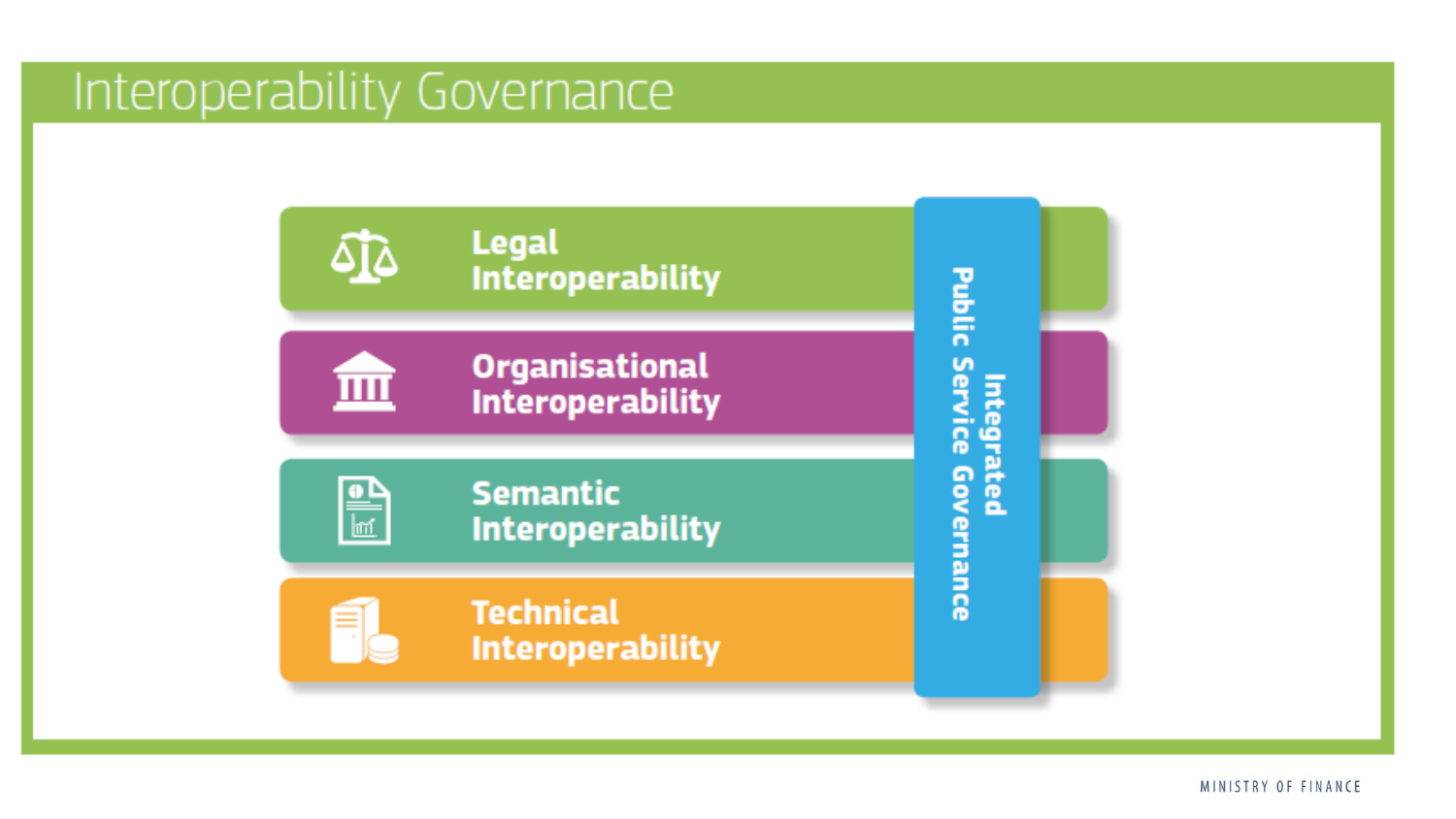#### Interoperability Governance



MINISTRY OF FINANCE